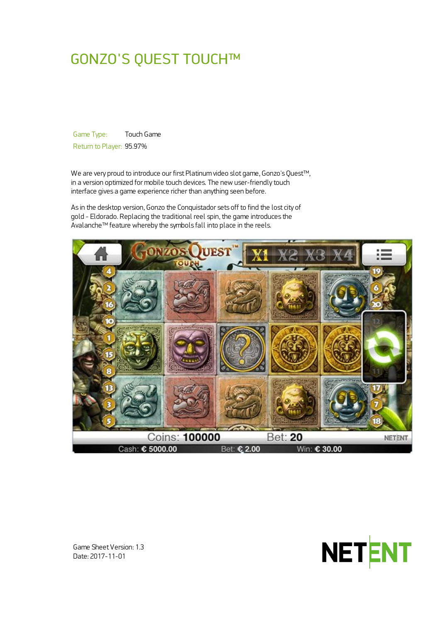# GONZO'S QUEST TOUCH™

Game Type: Touch Game Return to Player: 95.97%

We are very proud to introduce our first Platinum video slot game, Gonzo's Quest™, in a version optimized for mobile touch devices. The new user-friendly touch interface gives a game experience richer than anything seen before.

As in the desktop version, Gonzo the Conquistador sets off to find the lost city of gold - Eldorado. Replacing the traditional reel spin, the game introduces the Avalanche™ feature whereby the symbols fall into place in the reels.





Game Sheet Version: 1.3 Date: 2017-11-01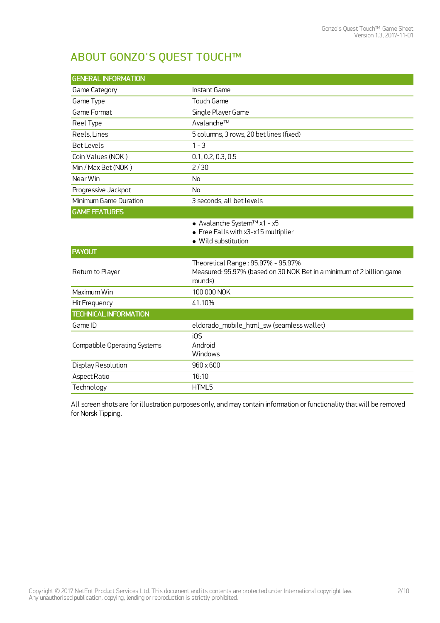## ABOUT GONZO'S QUEST TOUCH™

| <b>GENERAL INFORMATION</b>          |                                                                                                                       |  |  |
|-------------------------------------|-----------------------------------------------------------------------------------------------------------------------|--|--|
| Game Category                       | Instant Game                                                                                                          |  |  |
| Game Type                           | Touch Game                                                                                                            |  |  |
| Game Format                         | Single Player Game                                                                                                    |  |  |
| Reel Type                           | Avalanche™                                                                                                            |  |  |
| Reels, Lines                        | 5 columns, 3 rows, 20 bet lines (fixed)                                                                               |  |  |
| <b>BetLevels</b>                    | $1 - 3$                                                                                                               |  |  |
| Coin Values (NOK)                   | 0.1, 0.2, 0.3, 0.5                                                                                                    |  |  |
| Min / Max Bet (NOK)                 | 2/30                                                                                                                  |  |  |
| Near Win                            | <b>No</b>                                                                                                             |  |  |
| Progressive Jackpot                 | <b>No</b>                                                                                                             |  |  |
| Minimum Game Duration               | 3 seconds, all bet levels                                                                                             |  |  |
| <b>GAME FEATURES</b>                |                                                                                                                       |  |  |
|                                     | ● Avalanche System™ x1 - x5<br>• Free Falls with x3-x15 multiplier<br>· Wild substitution                             |  |  |
| <b>PAYOUT</b>                       |                                                                                                                       |  |  |
| Return to Player                    | Theoretical Range: 95.97% - 95.97%<br>Measured: 95.97% (based on 30 NOK Bet in a minimum of 2 billion game<br>rounds) |  |  |
| Maximum Win                         | 100 000 NOK                                                                                                           |  |  |
| Hit Frequency                       | 41.10%                                                                                                                |  |  |
| <b>TECHNICAL INFORMATION</b>        |                                                                                                                       |  |  |
| Game ID                             | eldorado_mobile_html_sw (seamless wallet)                                                                             |  |  |
| <b>Compatible Operating Systems</b> | iOS<br>Android<br>Windows                                                                                             |  |  |
| Display Resolution                  | 960 x 600                                                                                                             |  |  |
| Aspect Ratio                        | 16:10                                                                                                                 |  |  |
| Technology                          | HTML5                                                                                                                 |  |  |

All screen shots are for illustration purposes only, and may contain information or functionality thatwill be removed for Norsk Tipping.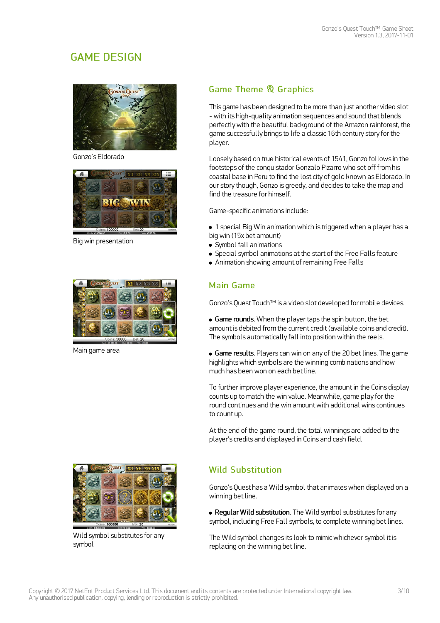## GAME DESIGN



Gonzo's Eldorado



Big win presentation



Main game area



Wild symbol substitutes for any symbol

## Game Theme & Graphics

This game has been designed to be more than just another video slot - with its high-quality animation sequences and sound that blends perfectlywith the beautiful background of the Amazon rainforest, the game successfully brings to life a classic 16th century story for the player.

Loosely based on true historical events of 1541, Gonzo follows in the footsteps of the conquistador Gonzalo Pizarro who set off from his coastal base in Peru to find the lost city of gold known as Eldorado. In our story though, Gonzo is greedy, and decides to take the map and find the treasure for himself

Game-specific animations include:

1 special Big Win animation which is triggered when a player has a big win (15x bet amount)

- Symbol fall animations
- Special symbol animations at the start of the Free Falls feature
- Animation showing amount of remaining Free Falls

## Main Game

Gonzo's Quest Touch™ is a video slot developed for mobile devices.

• Game rounds. When the player taps the spin button, the bet amount is debited from the current credit (available coins and credit). The symbols automatically fall into position within the reels.

• Game results. Players can win on any of the 20 bet lines. The game highlights which symbols are the winning combinations and how much has been won on each betline.

To further improve player experience, the amount in the Coins display counts up to match the win value. Meanwhile, game play for the round continues and the win amount with additional wins continues to count up.

Atthe end of the game round, the total winnings are added to the player's credits and displayed in Coins and cash field.

## Wild Substitution

Gonzo's Quest has a Wild symbol that animateswhen displayed on a winning bet line.

• Regular Wild substitution. The Wild symbol substitutes for any symbol, including Free Fall symbols, to complete winning bet lines.

The Wild symbol changes its look to mimic whichever symbol it is replacing on the winning bet line.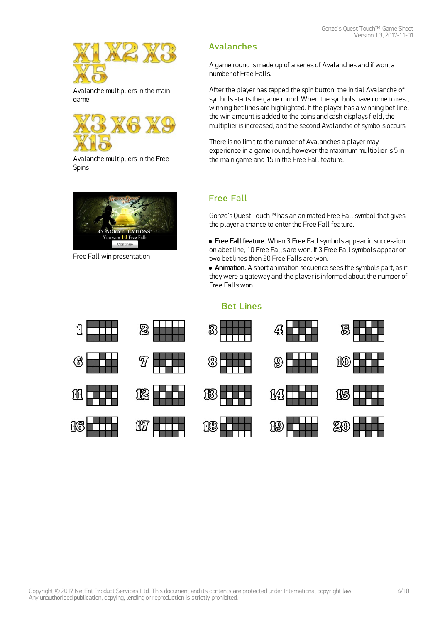

Avalanche multipliers in the main game



Avalanche multipliers in the Free Spins



Free Fall win presentation

ſ۱

## Avalanches

A game round is made up of a series of Avalanches and if won, a number of Free Falls.

After the player has tapped the spin button, the initial Avalanche of symbols starts the game round. When the symbols have come to rest, winning bet lines are highlighted. If the player has a winning bet line, the win amount is added to the coins and cash displays field, the multiplier is increased, and the second Avalanche of symbols occurs.

There is no limit to the number of Avalanches a player may experience in a game round; however the maximum multiplier is 5 in the main game and 15 in the Free Fall feature.

## Free Fall

Gonzo's Quest Touch™ has an animated Free Fall symbol that gives the player a chance to enter the Free Fall feature.

**• Free Fall feature.** When 3 Free Fall symbols appear in succession on abetline, 10 Free Falls are won. If 3 Free Fall symbols appear on two bet lines then 20 Free Falls are won.

• Animation. A short animation sequence sees the symbols part, as if they were a gateway and the player is informed about the number of Free Fallswon.

#### Bet Lines

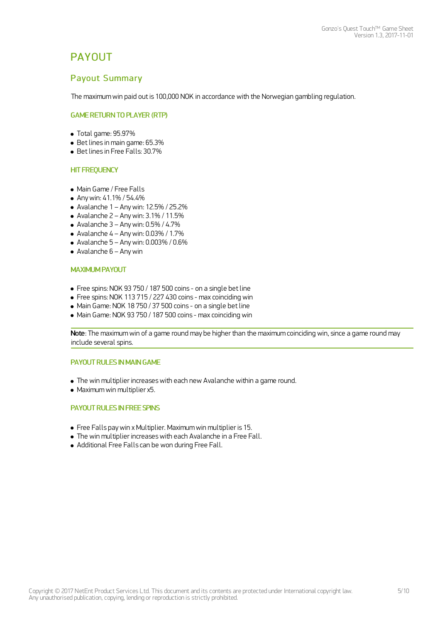## **PAYOUT**

### Payout Summary

The maximum win paid out is 100,000 NOK in accordance with the Norwegian gambling regulation.

#### GAME RETURN TO PLAYER (RTP)

- $\bullet$  Total game: 95.97%
- Betlines in main game: 65.3%
- Bet lines in Free Falls: 30.7%

#### **HIT FREQUENCY**

- Main Game / Free Falls
- Anywin: 41.1% / 54.4%
- $\bullet$  Avalanche 1 Any win: 12.5% / 25.2%
- $\bullet$  Avalanche 2 Any win: 3.1% / 11.5%
- $\bullet$  Avalanche 3 Any win: 0.5% / 4.7%
- $\bullet$  Avalanche 4 Any win: 0.03% / 1.7%
- $\bullet$  Avalanche 5 Any win: 0.003% / 0.6%
- Avalanche 6 Anywin

#### MAXIMUM PAYOUT

- Free spins: NOK 93 750 / 187 500 coins on a single betline
- Free spins: NOK 113 715 / 227 430 coins max coinciding win
- Main Game: NOK 18 750 / 37 500 coins on a single betline
- Main Game: NOK 93 750 / 187 500 coins max coinciding win

Note: The maximum win of a game round may be higher than the maximum coinciding win, since a game round may include several spins.

#### PAYOUT RULES IN MAIN GAME

- The win multiplier increaseswith each new Avalanche within a game round.
- $\bullet$  Maximum win multiplier x5.

#### PAYOUT RULES IN FREE SPINS

- Free Falls paywin x Multiplier. Maximum win multiplier is 15.
- The win multiplier increaseswith each Avalanche in a Free Fall.
- Additional Free Falls can be won during Free Fall.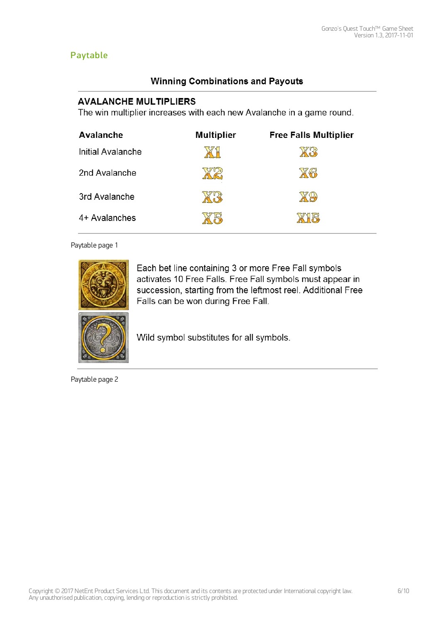## Paytable

## **Winning Combinations and Payouts**

## **AVALANCHE MULTIPLIERS**

The win multiplier increases with each new Avalanche in a game round.

| Avalanche         | <b>Multiplier</b> | <b>Free Falls Multiplier</b> |
|-------------------|-------------------|------------------------------|
| Initial Avalanche |                   |                              |
| 2nd Avalanche     |                   | $\sqrt{2}$                   |
| 3rd Avalanche     |                   |                              |
| 4+ Avalanches     |                   |                              |

#### Paytable page 1



Each bet line containing 3 or more Free Fall symbols activates 10 Free Falls. Free Fall symbols must appear in succession, starting from the leftmost reel. Additional Free Falls can be won during Free Fall.



Wild symbol substitutes for all symbols.

Paytable page 2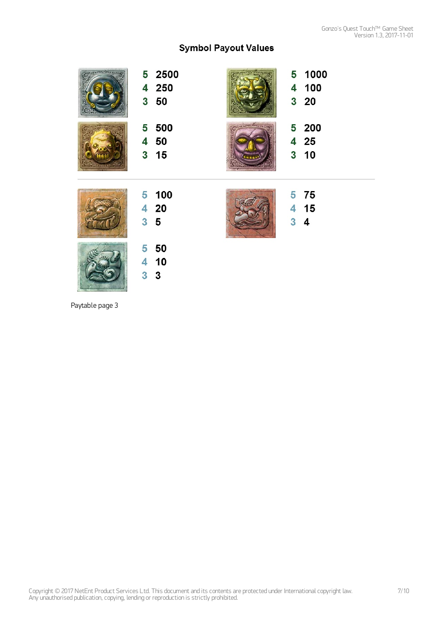## **Symbol Payout Values**

| 5 2500<br>4 250<br>$3\quad50$    | 5 1000<br>4 100<br>320           |
|----------------------------------|----------------------------------|
| 5 500<br>4 50<br>3 <sub>15</sub> | 5 200<br>4 25<br>3 <sub>10</sub> |
| 5 100<br>4 20<br>3 <sub>5</sub>  | 5 75<br>4 15<br>$3\quad 4$       |
|                                  |                                  |

Paytable page 3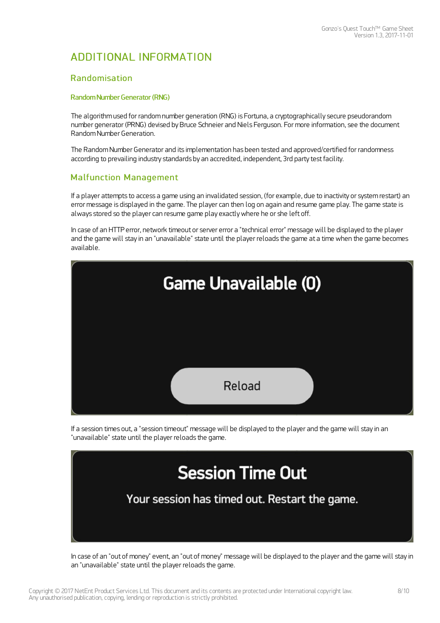## ADDITIONAL INFORMATION

#### Randomisation

#### Random Number Generator (RNG)

The algorithm used for random number generation (RNG) is Fortuna, a cryptographically secure pseudorandom number generator (PRNG) devised by Bruce Schneier and Niels Ferguson. For more information, see the document Random Number Generation.

The Random Number Generator and its implementation has been tested and approved/certified for randomness according to prevailing industry standards by an accredited, independent, 3rd party test facility.

### **Malfunction Management**

If a player attempts to access a game using an invalidated session, (for example, due to inactivity or system restart) an error message is displayed in the game. The player can then log on again and resume game play. The game state is always stored so the player can resume game play exactlywhere he or she left off.

In case of an HTTP error, network timeout or server error a "technical error" message will be displayed to the player and the game will stay in an "unavailable" state until the player reloads the game at a time when the game becomes available.



If a session times out, a "session timeout" message will be displayed to the player and the game will stay in an "unavailable" state until the player reloads the game.



In case of an "out of money" event, an "out of money" message will be displayed to the player and the game will stay in an "unavailable" state until the player reloads the game.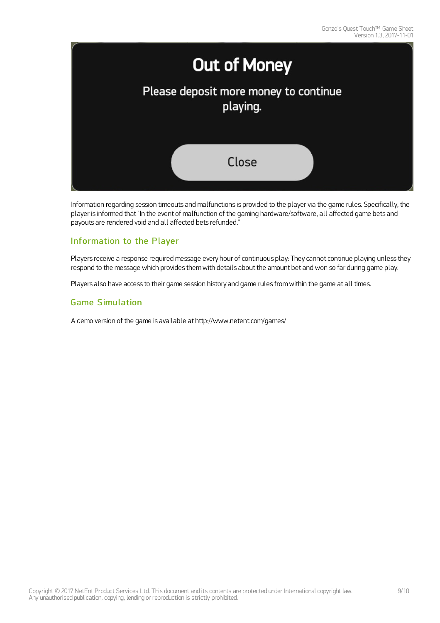

Information regarding session timeouts and malfunctions is provided to the player via the game rules. Specifically, the player is informed that"In the event of malfunction of the gaming hardware/software, all affected game bets and payouts are rendered void and all affected bets refunded."

### Information to the Player

Players receive a response required message every hour of continuous play: They cannot continue playing unless they respond to the message which provides them with details about the amount bet and won so far during game play.

Players also have access to their game session history and game rules from within the game at all times.

### Game Simulation

A demo version of the game is available at <http://www.netent.com/games/>